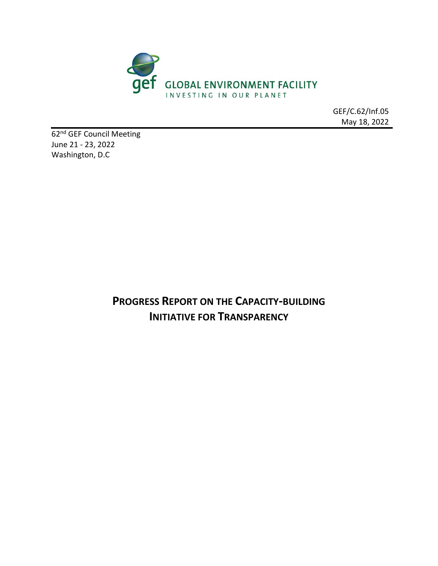

GEF/C.62/Inf.05 May 18, 2022

62<sup>nd</sup> GEF Council Meeting June 21 - 23, 2022 Washington, D.C

> **PROGRESS REPORT ON THE CAPACITY-BUILDING INITIATIVE FOR TRANSPARENCY**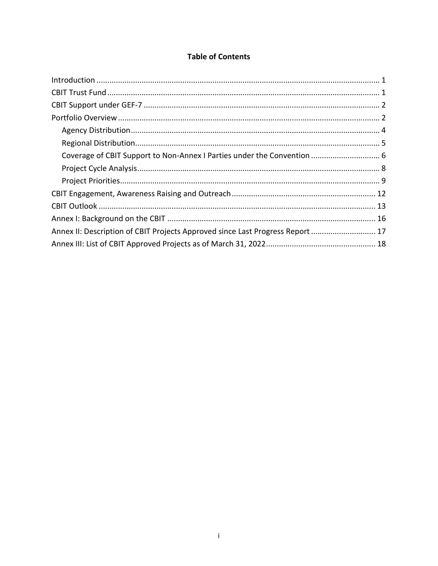## **Table of Contents**

| Annex II: Description of CBIT Projects Approved since Last Progress Report  17 |  |
|--------------------------------------------------------------------------------|--|
|                                                                                |  |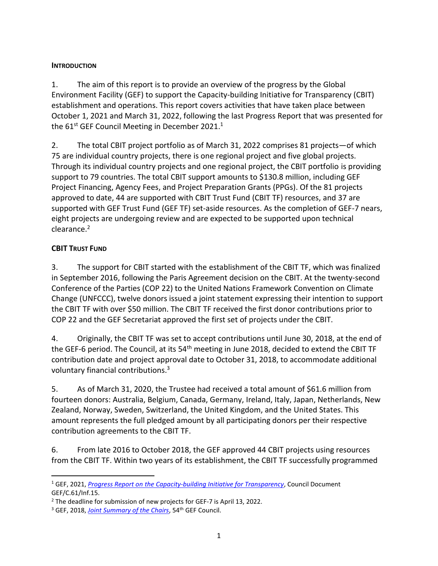### <span id="page-2-0"></span>**INTRODUCTION**

1. The aim of this report is to provide an overview of the progress by the Global Environment Facility (GEF) to support the Capacity-building Initiative for Transparency (CBIT) establishment and operations. This report covers activities that have taken place between October 1, 2021 and March 31, 2022, following the last Progress Report that was presented for the 61st GEF Council Meeting in December 2021. $^1$ 

2. The total CBIT project portfolio as of March 31, 2022 comprises 81 projects—of which 75 are individual country projects, there is one regional project and five global projects. Through its individual country projects and one regional project, the CBIT portfolio is providing support to 79 countries. The total CBIT support amounts to \$130.8 million, including GEF Project Financing, Agency Fees, and Project Preparation Grants (PPGs). Of the 81 projects approved to date, 44 are supported with CBIT Trust Fund (CBIT TF) resources, and 37 are supported with GEF Trust Fund (GEF TF) set-aside resources. As the completion of GEF-7 nears, eight projects are undergoing review and are expected to be supported upon technical clearance.<sup>2</sup>

### <span id="page-2-1"></span>**CBIT TRUST FUND**

3. The support for CBIT started with the establishment of the CBIT TF, which was finalized in September 2016, following the Paris Agreement decision on the CBIT. At the twenty-second Conference of the Parties (COP 22) to the United Nations Framework Convention on Climate Change (UNFCCC), twelve donors issued a joint statement expressing their intention to support the CBIT TF with over \$50 million. The CBIT TF received the first donor contributions prior to COP 22 and the GEF Secretariat approved the first set of projects under the CBIT.

4. Originally, the CBIT TF was set to accept contributions until June 30, 2018, at the end of the GEF-6 period. The Council, at its 54<sup>th</sup> meeting in June 2018, decided to extend the CBIT TF contribution date and project approval date to October 31, 2018, to accommodate additional voluntary financial contributions.<sup>3</sup>

5. As of March 31, 2020, the Trustee had received a total amount of \$61.6 million from fourteen donors: Australia, Belgium, Canada, Germany, Ireland, Italy, Japan, Netherlands, New Zealand, Norway, Sweden, Switzerland, the United Kingdom, and the United States. This amount represents the full pledged amount by all participating donors per their respective contribution agreements to the CBIT TF.

6. From late 2016 to October 2018, the GEF approved 44 CBIT projects using resources from the CBIT TF. Within two years of its establishment, the CBIT TF successfully programmed

<sup>1</sup> GEF, 2021, *[Progress Report on the Capacity-building Initiative for Transparency](https://www.thegef.org/sites/default/files/2021-11/EN_GEF.C.61.Inf_.15_Progress_Report_CBIT.pdf)*, Council Document GEF/C.61/Inf.15.

 $2$  The deadline for submission of new projects for GEF-7 is April 13, 2022.

<sup>&</sup>lt;sup>3</sup> GEF, 2018, *[Joint Summary of the Chairs](https://www.thegef.org/sites/default/files/council-meeting-documents/EN_GEF.C.54_Joint_Summary_of_the_Chairs_0.pdf)*, 54<sup>th</sup> GEF Council.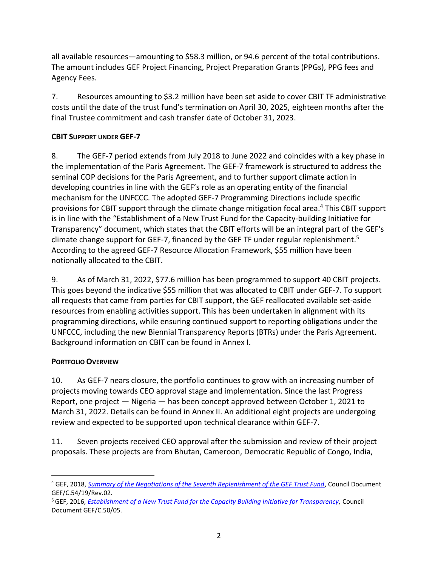all available resources—amounting to \$58.3 million, or 94.6 percent of the total contributions. The amount includes GEF Project Financing, Project Preparation Grants (PPGs), PPG fees and Agency Fees.

7. Resources amounting to \$3.2 million have been set aside to cover CBIT TF administrative costs until the date of the trust fund's termination on April 30, 2025, eighteen months after the final Trustee commitment and cash transfer date of October 31, 2023.

### <span id="page-3-0"></span>**CBIT SUPPORT UNDER GEF-7**

8. The GEF-7 period extends from July 2018 to June 2022 and coincides with a key phase in the implementation of the Paris Agreement. The GEF-7 framework is structured to address the seminal COP decisions for the Paris Agreement, and to further support climate action in developing countries in line with the GEF's role as an operating entity of the financial mechanism for the UNFCCC. The adopted GEF-7 Programming Directions include specific provisions for CBIT support through the climate change mitigation focal area.<sup>4</sup> This CBIT support is in line with the "Establishment of a New Trust Fund for the Capacity-building Initiative for Transparency" document, which states that the CBIT efforts will be an integral part of the GEF's climate change support for GEF-7, financed by the GEF TF under regular replenishment.<sup>5</sup> According to the agreed GEF-7 Resource Allocation Framework, \$55 million have been notionally allocated to the CBIT.

9. As of March 31, 2022, \$77.6 million has been programmed to support 40 CBIT projects. This goes beyond the indicative \$55 million that was allocated to CBIT under GEF-7. To support all requests that came from parties for CBIT support, the GEF reallocated available set-aside resources from enabling activities support. This has been undertaken in alignment with its programming directions, while ensuring continued support to reporting obligations under the UNFCCC, including the new Biennial Transparency Reports (BTRs) under the Paris Agreement. Background information on CBIT can be found in Annex I.

### <span id="page-3-1"></span>**PORTFOLIO OVERVIEW**

10. As GEF-7 nears closure, the portfolio continues to grow with an increasing number of projects moving towards CEO approval stage and implementation. Since the last Progress Report, one project — Nigeria — has been concept approved between October 1, 2021 to March 31, 2022. Details can be found in Annex II. An additional eight projects are undergoing review and expected to be supported upon technical clearance within GEF-7.

11. Seven projects received CEO approval after the submission and review of their project proposals. These projects are from Bhutan, Cameroon, Democratic Republic of Congo, India,

<sup>4</sup> GEF, 2018, *[Summary of the Negotiations of the Seventh Replenishment of the GEF Trust Fund](http://www.thegef.org/sites/default/files/council-meeting-documents/EN_GEF.C.54.19.Rev_.02_Replenishment.pdf)*, Council Document GEF/C.54/19/Rev.02.

<sup>5</sup> GEF, 2016, *[Establishment of a New Trust Fund for the Capacity Building Initiative for Transparency,](https://www.thegef.org/sites/default/files/council-meeting-documents/EN_GEF.C.50.05_CBIT_TF_Establishment_0_0.pdf)* Council Document GEF/C.50/05.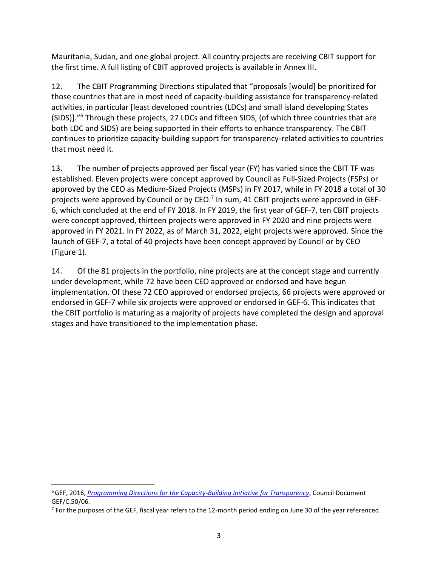Mauritania, Sudan, and one global project. All country projects are receiving CBIT support for the first time. A full listing of CBIT approved projects is available in Annex III.

12. The CBIT Programming Directions stipulated that "proposals [would] be prioritized for those countries that are in most need of capacity-building assistance for transparency-related activities, in particular [least developed countries (LDCs) and small island developing States (SIDS)]."<sup>6</sup> Through these projects, 27 LDCs and fifteen SIDS, (of which three countries that are both LDC and SIDS) are being supported in their efforts to enhance transparency. The CBIT continues to prioritize capacity-building support for transparency-related activities to countries that most need it.

13. The number of projects approved per fiscal year (FY) has varied since the CBIT TF was established. Eleven projects were concept approved by Council as Full-Sized Projects (FSPs) or approved by the CEO as Medium-Sized Projects (MSPs) in FY 2017, while in FY 2018 a total of 30 projects were approved by Council or by CEO.<sup>7</sup> In sum, 41 CBIT projects were approved in GEF-6, which concluded at the end of FY 2018. In FY 2019, the first year of GEF-7, ten CBIT projects were concept approved, thirteen projects were approved in FY 2020 and nine projects were approved in FY 2021. In FY 2022, as of March 31, 2022, eight projects were approved. Since the launch of GEF-7, a total of 40 projects have been concept approved by Council or by CEO (Figure 1).

14. Of the 81 projects in the portfolio, nine projects are at the concept stage and currently under development, while 72 have been CEO approved or endorsed and have begun implementation. Of these 72 CEO approved or endorsed projects, 66 projects were approved or endorsed in GEF-7 while six projects were approved or endorsed in GEF-6. This indicates that the CBIT portfolio is maturing as a majority of projects have completed the design and approval stages and have transitioned to the implementation phase.

<sup>6</sup>GEF, 2016, *Programming Directions for the Capacity-Building Initiative for Transparency*, Council Document GEF/C.50/06.

 $7$  For the purposes of the GEF, fiscal year refers to the 12-month period ending on June 30 of the year referenced.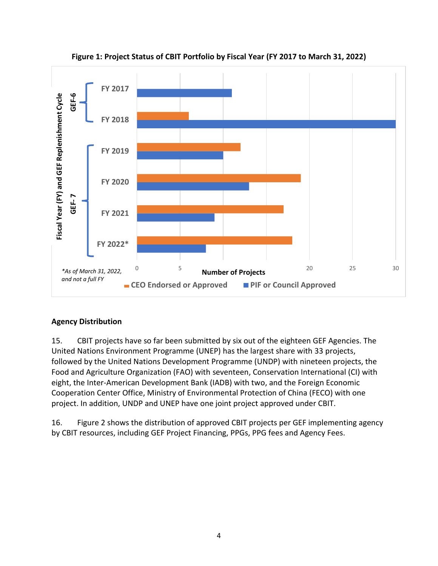

**Figure 1: Project Status of CBIT Portfolio by Fiscal Year (FY 2017 to March 31, 2022)**

### <span id="page-5-0"></span>**Agency Distribution**

15. CBIT projects have so far been submitted by six out of the eighteen GEF Agencies. The United Nations Environment Programme (UNEP) has the largest share with 33 projects, followed by the United Nations Development Programme (UNDP) with nineteen projects, the Food and Agriculture Organization (FAO) with seventeen, Conservation International (CI) with eight, the Inter-American Development Bank (IADB) with two, and the Foreign Economic Cooperation Center Office, Ministry of Environmental Protection of China (FECO) with one project. In addition, UNDP and UNEP have one joint project approved under CBIT.

16. Figure 2 shows the distribution of approved CBIT projects per GEF implementing agency by CBIT resources, including GEF Project Financing, PPGs, PPG fees and Agency Fees.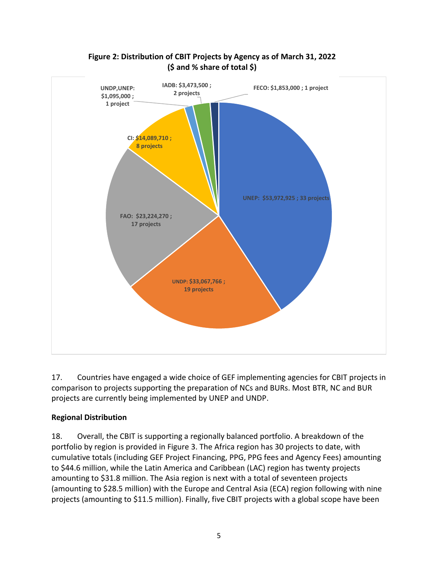

# **Figure 2: Distribution of CBIT Projects by Agency as of March 31, 2022 (\$ and % share of total \$)**

17. Countries have engaged a wide choice of GEF implementing agencies for CBIT projects in comparison to projects supporting the preparation of NCs and BURs. Most BTR, NC and BUR projects are currently being implemented by UNEP and UNDP.

### <span id="page-6-0"></span>**Regional Distribution**

18. Overall, the CBIT is supporting a regionally balanced portfolio. A breakdown of the portfolio by region is provided in Figure 3. The Africa region has 30 projects to date, with cumulative totals (including GEF Project Financing, PPG, PPG fees and Agency Fees) amounting to \$44.6 million, while the Latin America and Caribbean (LAC) region has twenty projects amounting to \$31.8 million. The Asia region is next with a total of seventeen projects (amounting to \$28.5 million) with the Europe and Central Asia (ECA) region following with nine projects (amounting to \$11.5 million). Finally, five CBIT projects with a global scope have been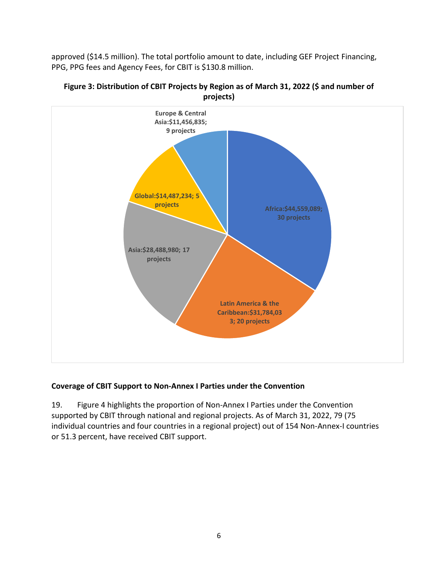approved (\$14.5 million). The total portfolio amount to date, including GEF Project Financing, PPG, PPG fees and Agency Fees, for CBIT is \$130.8 million.





### <span id="page-7-0"></span>**Coverage of CBIT Support to Non-Annex I Parties under the Convention**

19. Figure 4 highlights the proportion of Non-Annex I Parties under the Convention supported by CBIT through national and regional projects. As of March 31, 2022, 79 (75 individual countries and four countries in a regional project) out of 154 Non-Annex-I countries or 51.3 percent, have received CBIT support.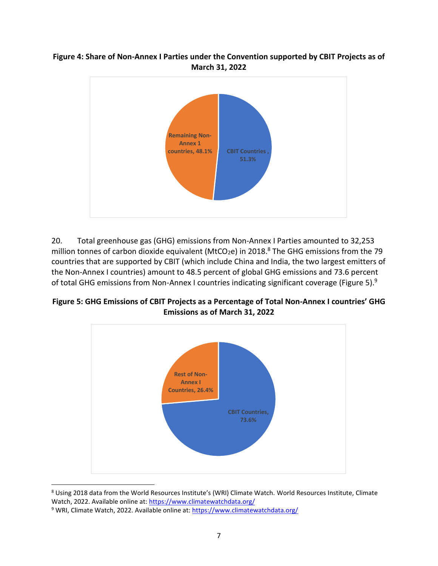#### **Figure 4: Share of Non-Annex I Parties under the Convention supported by CBIT Projects as of March 31, 2022**



20. Total greenhouse gas (GHG) emissions from Non-Annex I Parties amounted to 32,253 million tonnes of carbon dioxide equivalent (MtCO<sub>2</sub>e) in 2018.<sup>8</sup> The GHG emissions from the 79 countries that are supported by CBIT (which include China and India, the two largest emitters of the Non-Annex I countries) amount to 48.5 percent of global GHG emissions and 73.6 percent of total GHG emissions from Non-Annex I countries indicating significant coverage (Figure 5).<sup>9</sup>

**Figure 5: GHG Emissions of CBIT Projects as a Percentage of Total Non-Annex I countries' GHG Emissions as of March 31, 2022**



<sup>8</sup> Using 2018 data from the World Resources Institute's (WRI) Climate Watch. World Resources Institute, Climate Watch, 2022. Available online at:<https://www.climatewatchdata.org/>

<sup>&</sup>lt;sup>9</sup> WRI, Climate Watch, 2022. Available online at[: https://www.climatewatchdata.org/](https://www.climatewatchdata.org/)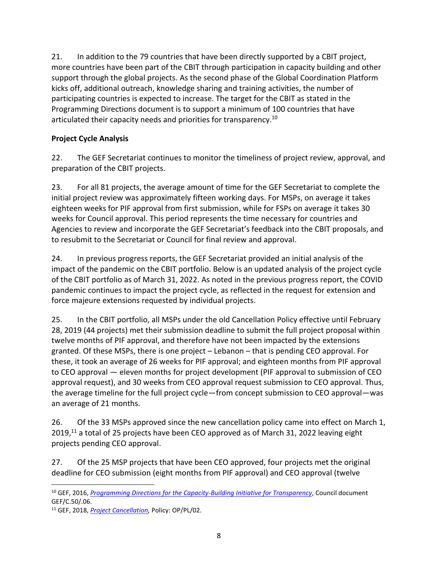21. In addition to the 79 countries that have been directly supported by a CBIT project, more countries have been part of the CBIT through participation in capacity building and other support through the global projects. As the second phase of the Global Coordination Platform kicks off, additional outreach, knowledge sharing and training activities, the number of participating countries is expected to increase. The target for the CBIT as stated in the Programming Directions document is to support a minimum of 100 countries that have articulated their capacity needs and priorities for transparency.<sup>10</sup>

### <span id="page-9-0"></span>**Project Cycle Analysis**

22. The GEF Secretariat continues to monitor the timeliness of project review, approval, and preparation of the CBIT projects.

23. For all 81 projects, the average amount of time for the GEF Secretariat to complete the initial project review was approximately fifteen working days. For MSPs, on average it takes eighteen weeks for PIF approval from first submission, while for FSPs on average it takes 30 weeks for Council approval. This period represents the time necessary for countries and Agencies to review and incorporate the GEF Secretariat's feedback into the CBIT proposals, and to resubmit to the Secretariat or Council for final review and approval.

24. In previous progress reports, the GEF Secretariat provided an initial analysis of the impact of the pandemic on the CBIT portfolio. Below is an updated analysis of the project cycle of the CBIT portfolio as of March 31, 2022. As noted in the previous progress report, the COVID pandemic continues to impact the project cycle, as reflected in the request for extension and force majeure extensions requested by individual projects.

25. In the CBIT portfolio, all MSPs under the old Cancellation Policy effective until February 28, 2019 (44 projects) met their submission deadline to submit the full project proposal within twelve months of PIF approval, and therefore have not been impacted by the extensions granted. Of these MSPs, there is one project – Lebanon – that is pending CEO approval. For these, it took an average of 26 weeks for PIF approval; and eighteen months from PIF approval to CEO approval — eleven months for project development (PIF approval to submission of CEO approval request), and 30 weeks from CEO approval request submission to CEO approval. Thus, the average timeline for the full project cycle—from concept submission to CEO approval—was an average of 21 months.

26. Of the 33 MSPs approved since the new cancellation policy came into effect on March 1, 2019,<sup>11</sup> a total of 25 projects have been CEO approved as of March 31, 2022 leaving eight projects pending CEO approval.

27. Of the 25 MSP projects that have been CEO approved, four projects met the original deadline for CEO submission (eight months from PIF approval) and CEO approval (twelve

<sup>10</sup> GEF, 2016, *[Programming Directions for the Capacity-Building Initiative for Transparency](https://www.thegef.org/sites/default/files/council-meeting-documents/EN_GEF.C.50.06_CBIT_Programming_Directions.pdf)*, Council document GEF/C.50/.06.

<sup>11</sup> GEF, 2018, *[Project Cancellation,](https://www.thegef.org/sites/default/files/documents/Project_Cancellation_Policy_20181220.pdf)* Policy: OP/PL/02.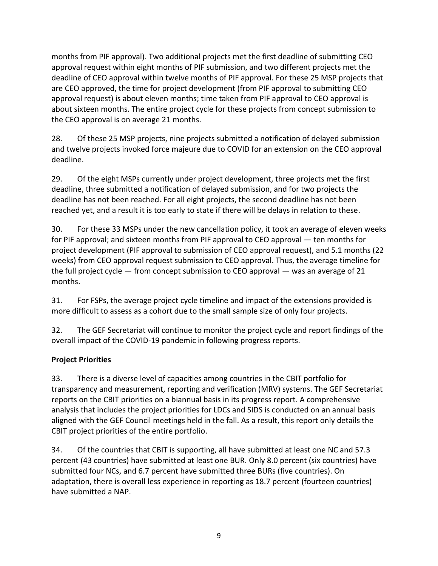months from PIF approval). Two additional projects met the first deadline of submitting CEO approval request within eight months of PIF submission, and two different projects met the deadline of CEO approval within twelve months of PIF approval. For these 25 MSP projects that are CEO approved, the time for project development (from PIF approval to submitting CEO approval request) is about eleven months; time taken from PIF approval to CEO approval is about sixteen months. The entire project cycle for these projects from concept submission to the CEO approval is on average 21 months.

28. Of these 25 MSP projects, nine projects submitted a notification of delayed submission and twelve projects invoked force majeure due to COVID for an extension on the CEO approval deadline.

29. Of the eight MSPs currently under project development, three projects met the first deadline, three submitted a notification of delayed submission, and for two projects the deadline has not been reached. For all eight projects, the second deadline has not been reached yet, and a result it is too early to state if there will be delays in relation to these.

30. For these 33 MSPs under the new cancellation policy, it took an average of eleven weeks for PIF approval; and sixteen months from PIF approval to CEO approval — ten months for project development (PIF approval to submission of CEO approval request), and 5.1 months (22 weeks) from CEO approval request submission to CEO approval. Thus, the average timeline for the full project cycle — from concept submission to CEO approval — was an average of 21 months.

31. For FSPs, the average project cycle timeline and impact of the extensions provided is more difficult to assess as a cohort due to the small sample size of only four projects.

32. The GEF Secretariat will continue to monitor the project cycle and report findings of the overall impact of the COVID-19 pandemic in following progress reports.

### <span id="page-10-0"></span>**Project Priorities**

33. There is a diverse level of capacities among countries in the CBIT portfolio for transparency and measurement, reporting and verification (MRV) systems. The GEF Secretariat reports on the CBIT priorities on a biannual basis in its progress report. A comprehensive analysis that includes the project priorities for LDCs and SIDS is conducted on an annual basis aligned with the GEF Council meetings held in the fall. As a result, this report only details the CBIT project priorities of the entire portfolio.

34. Of the countries that CBIT is supporting, all have submitted at least one NC and 57.3 percent (43 countries) have submitted at least one BUR. Only 8.0 percent (six countries) have submitted four NCs, and 6.7 percent have submitted three BURs (five countries). On adaptation, there is overall less experience in reporting as 18.7 percent (fourteen countries) have submitted a NAP.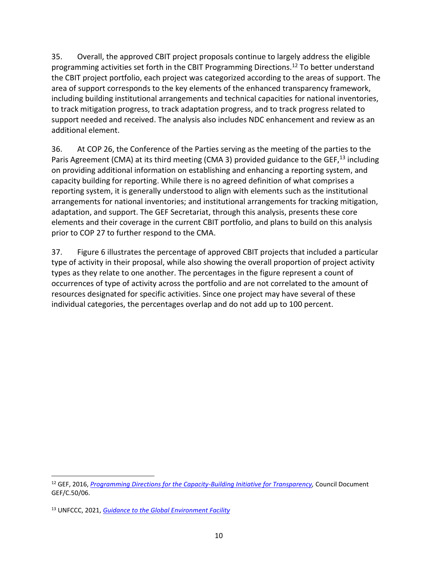35. Overall, the approved CBIT project proposals continue to largely address the eligible programming activities set forth in the CBIT Programming Directions.<sup>12</sup> To better understand the CBIT project portfolio, each project was categorized according to the areas of support. The area of support corresponds to the key elements of the enhanced transparency framework, including building institutional arrangements and technical capacities for national inventories, to track mitigation progress, to track adaptation progress, and to track progress related to support needed and received. The analysis also includes NDC enhancement and review as an additional element.

36. At COP 26, the Conference of the Parties serving as the meeting of the parties to the Paris Agreement (CMA) at its third meeting (CMA 3) provided guidance to the GEF,<sup>13</sup> including on providing additional information on establishing and enhancing a reporting system, and capacity building for reporting. While there is no agreed definition of what comprises a reporting system, it is generally understood to align with elements such as the institutional arrangements for national inventories; and institutional arrangements for tracking mitigation, adaptation, and support. The GEF Secretariat, through this analysis, presents these core elements and their coverage in the current CBIT portfolio, and plans to build on this analysis prior to COP 27 to further respond to the CMA.

37. Figure 6 illustrates the percentage of approved CBIT projects that included a particular type of activity in their proposal, while also showing the overall proportion of project activity types as they relate to one another. The percentages in the figure represent a count of occurrences of type of activity across the portfolio and are not correlated to the amount of resources designated for specific activities. Since one project may have several of these individual categories, the percentages overlap and do not add up to 100 percent.

<sup>12</sup> GEF, 2016, *[Programming Directions for the Capacity-Building Initiative for Transparency,](https://www.thegef.org/sites/default/files/council-meeting-documents/EN_GEF.C.50.06_CBIT_Programming_Directions.pdf)* Council Document GEF/C.50/06.

<sup>13</sup> UNFCCC, 2021, *[Guidance to the Global Environment Facility](https://unfccc.int/sites/default/files/resource/CMA3_auv_8c_GEF.pdf)*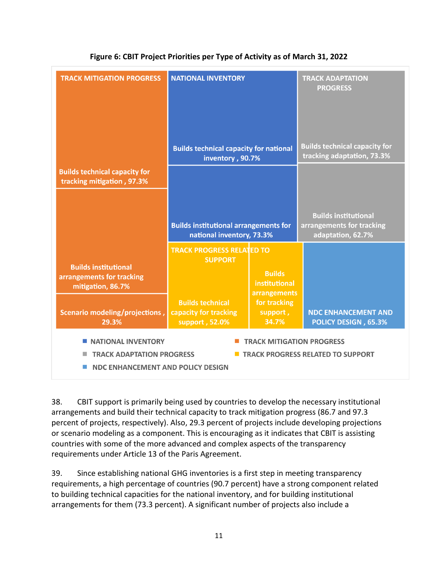| <b>TRACK MITIGATION PROGRESS</b>                                              | <b>NATIONAL INVENTORY</b>                                                                                                                             |                                                | <b>TRACK ADAPTATION</b><br><b>PROGRESS</b>                                    |  |  |  |  |  |
|-------------------------------------------------------------------------------|-------------------------------------------------------------------------------------------------------------------------------------------------------|------------------------------------------------|-------------------------------------------------------------------------------|--|--|--|--|--|
|                                                                               | <b>Builds technical capacity for national</b><br>inventory, 90.7%                                                                                     |                                                | <b>Builds technical capacity for</b><br>tracking adaptation, 73.3%            |  |  |  |  |  |
| <b>Builds technical capacity for</b><br>tracking mitigation, 97.3%            |                                                                                                                                                       |                                                |                                                                               |  |  |  |  |  |
|                                                                               | <b>Builds institutional arrangements for</b><br>national inventory, 73.3%                                                                             |                                                | <b>Builds institutional</b><br>arrangements for tracking<br>adaptation, 62.7% |  |  |  |  |  |
| <b>Builds institutional</b><br>arrangements for tracking<br>mitigation, 86.7% | <b>TRACK PROGRESS RELATED TO</b><br><b>SUPPORT</b>                                                                                                    | <b>Builds</b><br>institutional<br>arrangements |                                                                               |  |  |  |  |  |
| Scenario modeling/projections,<br>29.3%                                       | <b>Builds technical</b><br>capacity for tracking<br>support, 52.0%                                                                                    | for tracking<br>support,<br>34.7%              | <b>NDC ENHANCEMENT AND</b><br><b>POLICY DESIGN, 65.3%</b>                     |  |  |  |  |  |
| <b>NATIONAL INVENTORY</b>                                                     | <b>TRACK MITIGATION PROGRESS</b><br><b>TRACK ADAPTATION PROGRESS</b><br><b>TRACK PROGRESS RELATED TO SUPPORT</b><br>NDC ENHANCEMENT AND POLICY DESIGN |                                                |                                                                               |  |  |  |  |  |

### **Figure 6: CBIT Project Priorities per Type of Activity as of March 31, 2022**

38. CBIT support is primarily being used by countries to develop the necessary institutional arrangements and build their technical capacity to track mitigation progress (86.7 and 97.3 percent of projects, respectively). Also, 29.3 percent of projects include developing projections or scenario modeling as a component. This is encouraging as it indicates that CBIT is assisting countries with some of the more advanced and complex aspects of the transparency requirements under Article 13 of the Paris Agreement.

39. Since establishing national GHG inventories is a first step in meeting transparency requirements, a high percentage of countries (90.7 percent) have a strong component related to building technical capacities for the national inventory, and for building institutional arrangements for them (73.3 percent). A significant number of projects also include a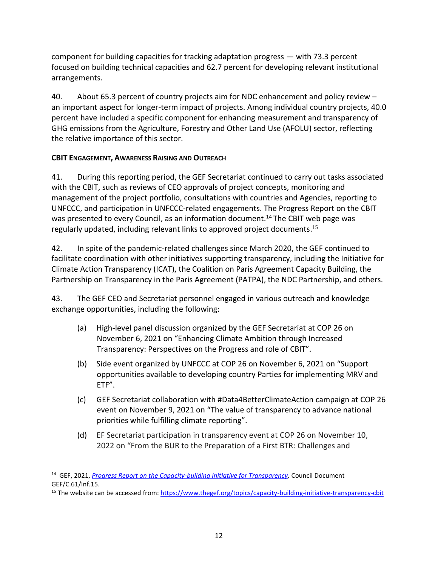component for building capacities for tracking adaptation progress — with 73.3 percent focused on building technical capacities and 62.7 percent for developing relevant institutional arrangements.

40. About 65.3 percent of country projects aim for NDC enhancement and policy review – an important aspect for longer-term impact of projects. Among individual country projects, 40.0 percent have included a specific component for enhancing measurement and transparency of GHG emissions from the Agriculture, Forestry and Other Land Use (AFOLU) sector, reflecting the relative importance of this sector.

### <span id="page-13-0"></span>**CBIT ENGAGEMENT, AWARENESS RAISING AND OUTREACH**

41. During this reporting period, the GEF Secretariat continued to carry out tasks associated with the CBIT, such as reviews of CEO approvals of project concepts, monitoring and management of the project portfolio, consultations with countries and Agencies, reporting to UNFCCC, and participation in UNFCCC-related engagements. The Progress Report on the CBIT was presented to every Council, as an information document.<sup>14</sup> The CBIT web page was regularly updated, including relevant links to approved project documents. 15

42. In spite of the pandemic-related challenges since March 2020, the GEF continued to facilitate coordination with other initiatives supporting transparency, including the Initiative for Climate Action Transparency (ICAT), the Coalition on Paris Agreement Capacity Building, the Partnership on Transparency in the Paris Agreement (PATPA), the NDC Partnership, and others.

43. The GEF CEO and Secretariat personnel engaged in various outreach and knowledge exchange opportunities, including the following:

- (a) High-level panel discussion organized by the GEF Secretariat at COP 26 on November 6, 2021 on "Enhancing Climate Ambition through Increased Transparency: Perspectives on the Progress and role of CBIT".
- (b) Side event organized by UNFCCC at COP 26 on November 6, 2021 on "Support opportunities available to developing country Parties for implementing MRV and ETF".
- (c) GEF Secretariat collaboration with #Data4BetterClimateAction campaign at COP 26 event on November 9, 2021 on "The value of transparency to advance national priorities while fulfilling climate reporting".
- (d) EF Secretariat participation in transparency event at COP 26 on November 10, 2022 on "From the BUR to the Preparation of a First BTR: Challenges and

<sup>14</sup> GEF, 2021, *[Progress Report on the Capacity-building Initiative for Transparency,](https://www.thegef.org/council-meeting-documents/progress-report-capacity-building-initiative-transparency-8)* Council Document GEF/C.61/Inf.15.

<sup>15</sup> The website can be accessed from[: https://www.thegef.org/topics/capacity-building-initiative-transparency-cbit](https://www.thegef.org/topics/capacity-building-initiative-transparency-cbit)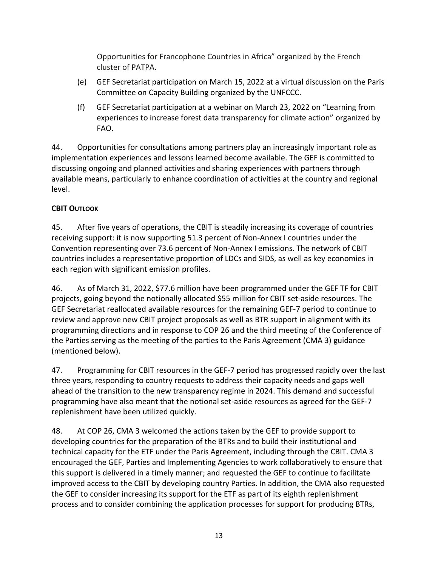Opportunities for Francophone Countries in Africa" organized by the French cluster of PATPA.

- (e) GEF Secretariat participation on March 15, 2022 at a virtual discussion on the Paris Committee on Capacity Building organized by the UNFCCC.
- (f) GEF Secretariat participation at a webinar on March 23, 2022 on "Learning from experiences to increase forest data transparency for climate action" organized by FAO.

44. Opportunities for consultations among partners play an increasingly important role as implementation experiences and lessons learned become available. The GEF is committed to discussing ongoing and planned activities and sharing experiences with partners through available means, particularly to enhance coordination of activities at the country and regional level.

# <span id="page-14-0"></span>**CBIT OUTLOOK**

45. After five years of operations, the CBIT is steadily increasing its coverage of countries receiving support: it is now supporting 51.3 percent of Non-Annex I countries under the Convention representing over 73.6 percent of Non-Annex I emissions. The network of CBIT countries includes a representative proportion of LDCs and SIDS, as well as key economies in each region with significant emission profiles.

46. As of March 31, 2022, \$77.6 million have been programmed under the GEF TF for CBIT projects, going beyond the notionally allocated \$55 million for CBIT set-aside resources. The GEF Secretariat reallocated available resources for the remaining GEF-7 period to continue to review and approve new CBIT project proposals as well as BTR support in alignment with its programming directions and in response to COP 26 and the third meeting of the Conference of the Parties serving as the meeting of the parties to the Paris Agreement (CMA 3) guidance (mentioned below).

47. Programming for CBIT resources in the GEF-7 period has progressed rapidly over the last three years, responding to country requests to address their capacity needs and gaps well ahead of the transition to the new transparency regime in 2024. This demand and successful programming have also meant that the notional set-aside resources as agreed for the GEF-7 replenishment have been utilized quickly.

48. At COP 26, CMA 3 welcomed the actions taken by the GEF to provide support to developing countries for the preparation of the BTRs and to build their institutional and technical capacity for the ETF under the Paris Agreement, including through the CBIT. CMA 3 encouraged the GEF, Parties and Implementing Agencies to work collaboratively to ensure that this support is delivered in a timely manner; and requested the GEF to continue to facilitate improved access to the CBIT by developing country Parties. In addition, the CMA also requested the GEF to consider increasing its support for the ETF as part of its eighth replenishment process and to consider combining the application processes for support for producing BTRs,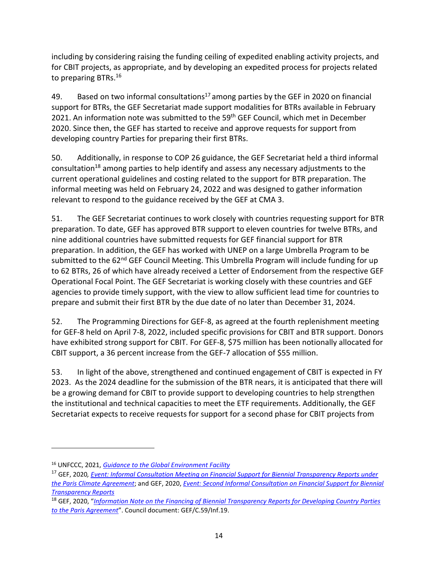including by considering raising the funding ceiling of expedited enabling activity projects, and for CBIT projects, as appropriate, and by developing an expedited process for projects related to preparing BTRs.<sup>16</sup>

49. Based on two informal consultations<sup>17</sup> among parties by the GEF in 2020 on financial support for BTRs, the GEF Secretariat made support modalities for BTRs available in February 2021. An information note was submitted to the 59<sup>th</sup> GEF Council, which met in December 2020. Since then, the GEF has started to receive and approve requests for support from developing country Parties for preparing their first BTRs.

50. Additionally, in response to COP 26 guidance, the GEF Secretariat held a third informal consultation<sup>18</sup> among parties to help identify and assess any necessary adjustments to the current operational guidelines and costing related to the support for BTR preparation. The informal meeting was held on February 24, 2022 and was designed to gather information relevant to respond to the guidance received by the GEF at CMA 3.

51. The GEF Secretariat continues to work closely with countries requesting support for BTR preparation. To date, GEF has approved BTR support to eleven countries for twelve BTRs, and nine additional countries have submitted requests for GEF financial support for BTR preparation. In addition, the GEF has worked with UNEP on a large Umbrella Program to be submitted to the 62<sup>nd</sup> GEF Council Meeting. This Umbrella Program will include funding for up to 62 BTRs, 26 of which have already received a Letter of Endorsement from the respective GEF Operational Focal Point. The GEF Secretariat is working closely with these countries and GEF agencies to provide timely support, with the view to allow sufficient lead time for countries to prepare and submit their first BTR by the due date of no later than December 31, 2024.

52. The Programming Directions for GEF-8, as agreed at the fourth replenishment meeting for GEF-8 held on April 7-8, 2022, included specific provisions for CBIT and BTR support. Donors have exhibited strong support for CBIT. For GEF-8, \$75 million has been notionally allocated for CBIT support, a 36 percent increase from the GEF-7 allocation of \$55 million.

53. In light of the above, strengthened and continued engagement of CBIT is expected in FY 2023. As the 2024 deadline for the submission of the BTR nears, it is anticipated that there will be a growing demand for CBIT to provide support to developing countries to help strengthen the institutional and technical capacities to meet the ETF requirements. Additionally, the GEF Secretariat expects to receive requests for support for a second phase for CBIT projects from

<sup>16</sup> UNFCCC, 2021, *[Guidance to the Global Environment Facility](https://unfccc.int/sites/default/files/resource/CMA3_auv_8c_GEF.pdf)*

<sup>17</sup> GEF, 2020*, [Event: Informal Consultation Meeting on Financial Support for Biennial Transparency Reports under](https://www.thegef.org/events/informal-consultation-meeting-financial-support-biennial-transparency-reports-under-paris)  [the Paris Climate Agreement](https://www.thegef.org/events/informal-consultation-meeting-financial-support-biennial-transparency-reports-under-paris)*; and GEF, 2020, *[Event: Second Informal Consultation on Financial Support for Biennial](https://www.thegef.org/events/second-informal-consultation-financial-support-biennial-transparency-reports)  [Transparency Reports](https://www.thegef.org/events/second-informal-consultation-financial-support-biennial-transparency-reports)*

<sup>18</sup> GEF, 2020, "*[Information Note on the Financing of Biennial Transparency Reports for Developing Country Parties](https://www.thegef.org/events/third-informal-consultation-financial-support-biennial-transparency-reports)  [to the Paris Agreement](https://www.thegef.org/events/third-informal-consultation-financial-support-biennial-transparency-reports)*". Council document: GEF/C.59/Inf.19.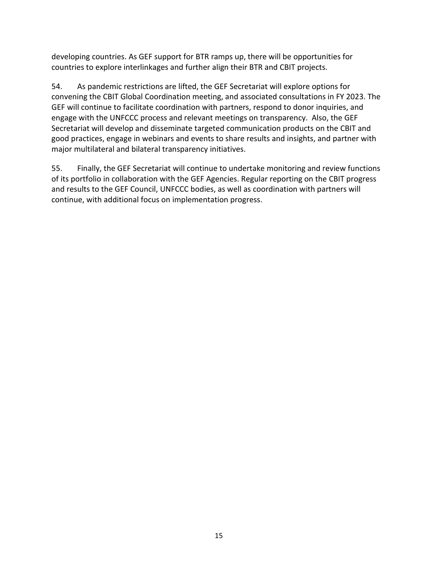developing countries. As GEF support for BTR ramps up, there will be opportunities for countries to explore interlinkages and further align their BTR and CBIT projects.

54. As pandemic restrictions are lifted, the GEF Secretariat will explore options for convening the CBIT Global Coordination meeting, and associated consultations in FY 2023. The GEF will continue to facilitate coordination with partners, respond to donor inquiries, and engage with the UNFCCC process and relevant meetings on transparency. Also, the GEF Secretariat will develop and disseminate targeted communication products on the CBIT and good practices, engage in webinars and events to share results and insights, and partner with major multilateral and bilateral transparency initiatives.

55. Finally, the GEF Secretariat will continue to undertake monitoring and review functions of its portfolio in collaboration with the GEF Agencies. Regular reporting on the CBIT progress and results to the GEF Council, UNFCCC bodies, as well as coordination with partners will continue, with additional focus on implementation progress.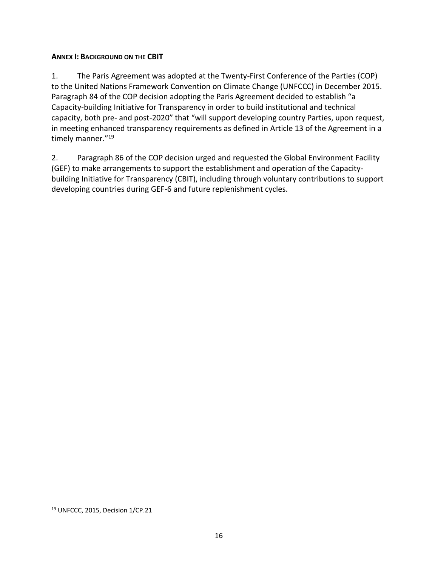#### <span id="page-17-0"></span>**ANNEX I: BACKGROUND ON THE CBIT**

1. The Paris Agreement was adopted at the Twenty-First Conference of the Parties (COP) to the United Nations Framework Convention on Climate Change (UNFCCC) in December 2015. Paragraph 84 of the COP decision adopting the Paris Agreement decided to establish "a Capacity-building Initiative for Transparency in order to build institutional and technical capacity, both pre- and post-2020" that "will support developing country Parties, upon request, in meeting enhanced transparency requirements as defined in Article 13 of the Agreement in a timely manner."<sup>19</sup>

2. Paragraph 86 of the COP decision urged and requested the Global Environment Facility (GEF) to make arrangements to support the establishment and operation of the Capacitybuilding Initiative for Transparency (CBIT), including through voluntary contributions to support developing countries during GEF-6 and future replenishment cycles.

<sup>19</sup> UNFCCC, 2015, Decision 1/CP.21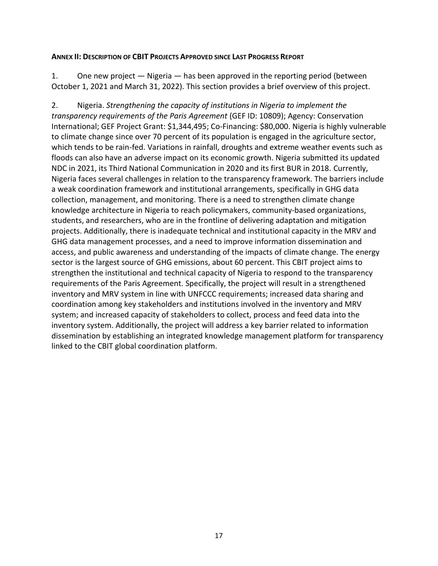#### <span id="page-18-0"></span>**ANNEX II: DESCRIPTION OF CBIT PROJECTS APPROVED SINCE LAST PROGRESS REPORT**

1. One new project — Nigeria — has been approved in the reporting period (between October 1, 2021 and March 31, 2022). This section provides a brief overview of this project.

2. Nigeria. *Strengthening the capacity of institutions in Nigeria to implement the transparency requirements of the Paris Agreement* (GEF ID: 10809); Agency: Conservation International; GEF Project Grant: \$1,344,495; Co-Financing: \$80,000. Nigeria is highly vulnerable to climate change since over 70 percent of its population is engaged in the agriculture sector, which tends to be rain-fed. Variations in rainfall, droughts and extreme weather events such as floods can also have an adverse impact on its economic growth. Nigeria submitted its updated NDC in 2021, its Third National Communication in 2020 and its first BUR in 2018. Currently, Nigeria faces several challenges in relation to the transparency framework. The barriers include a weak coordination framework and institutional arrangements, specifically in GHG data collection, management, and monitoring. There is a need to strengthen climate change knowledge architecture in Nigeria to reach policymakers, community-based organizations, students, and researchers, who are in the frontline of delivering adaptation and mitigation projects. Additionally, there is inadequate technical and institutional capacity in the MRV and GHG data management processes, and a need to improve information dissemination and access, and public awareness and understanding of the impacts of climate change. The energy sector is the largest source of GHG emissions, about 60 percent. This CBIT project aims to strengthen the institutional and technical capacity of Nigeria to respond to the transparency requirements of the Paris Agreement. Specifically, the project will result in a strengthened inventory and MRV system in line with UNFCCC requirements; increased data sharing and coordination among key stakeholders and institutions involved in the inventory and MRV system; and increased capacity of stakeholders to collect, process and feed data into the inventory system. Additionally, the project will address a key barrier related to information dissemination by establishing an integrated knowledge management platform for transparency linked to the CBIT global coordination platform.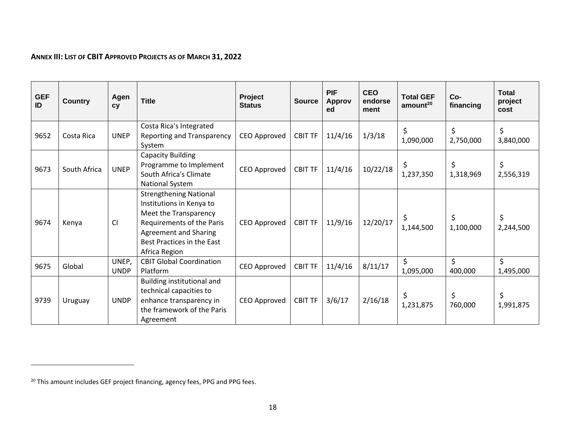### **ANNEX III: LIST OF CBIT APPROVED PROJECTS AS OF MARCH 31, 2022**

<span id="page-19-0"></span>

| <b>GEF</b><br>ID | <b>Country</b> | Agen<br><b>CV</b>    | <b>Title</b>                                                                                                                                                                                   | Project<br><b>Status</b> | <b>Source</b>  | <b>PIF</b><br><b>Approv</b><br>ed | <b>CEO</b><br>endorse<br>ment | <b>Total GEF</b><br>amount <sup>20</sup> | $Co-$<br>financing | <b>Total</b><br>project<br>cost |
|------------------|----------------|----------------------|------------------------------------------------------------------------------------------------------------------------------------------------------------------------------------------------|--------------------------|----------------|-----------------------------------|-------------------------------|------------------------------------------|--------------------|---------------------------------|
| 9652             | Costa Rica     | <b>UNEP</b>          | Costa Rica's Integrated<br>Reporting and Transparency<br>System                                                                                                                                | CEO Approved             | <b>CBIT TF</b> | 11/4/16                           | 1/3/18                        | \$<br>1,090,000                          | \$<br>2,750,000    | \$<br>3,840,000                 |
| 9673             | South Africa   | <b>UNEP</b>          | Capacity Building<br>Programme to Implement<br>South Africa's Climate<br>National System                                                                                                       | CEO Approved             | <b>CBIT TF</b> | 11/4/16                           | 10/22/18                      | \$<br>1,237,350                          | \$<br>1,318,969    | \$<br>2,556,319                 |
| 9674             | Kenya          | <b>CI</b>            | <b>Strengthening National</b><br>Institutions in Kenya to<br>Meet the Transparency<br>Requirements of the Paris<br><b>Agreement and Sharing</b><br>Best Practices in the East<br>Africa Region | CEO Approved             | <b>CBIT TF</b> | 11/9/16                           | 12/20/17                      | \$<br>1,144,500                          | \$<br>1,100,000    | \$<br>2,244,500                 |
| 9675             | Global         | UNEP,<br><b>UNDP</b> | <b>CBIT Global Coordination</b><br>Platform                                                                                                                                                    | CEO Approved             | <b>CBIT TF</b> | 11/4/16                           | 8/11/17                       | \$<br>1,095,000                          | \$<br>400,000      | \$<br>1,495,000                 |
| 9739             | Uruguay        | <b>UNDP</b>          | Building institutional and<br>technical capacities to<br>enhance transparency in<br>the framework of the Paris<br>Agreement                                                                    | CEO Approved             | <b>CBIT TF</b> | 3/6/17                            | 2/16/18                       | \$<br>1,231,875                          | \$<br>760,000      | \$<br>1,991,875                 |

<sup>&</sup>lt;sup>20</sup> This amount includes GEF project financing, agency fees, PPG and PPG fees.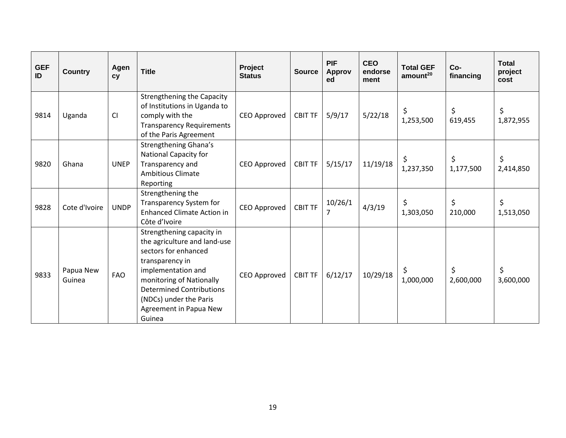| <b>GEF</b><br>ID | <b>Country</b>      | Agen<br>cy  | <b>Title</b>                                                                                                                                                                                                                                            | Project<br><b>Status</b> | <b>Source</b>  | <b>PIF</b><br><b>Approv</b><br>ed | <b>CEO</b><br>endorse<br>ment | <b>Total GEF</b><br>amount <sup>20</sup> | Co-<br>financing | <b>Total</b><br>project<br>cost |
|------------------|---------------------|-------------|---------------------------------------------------------------------------------------------------------------------------------------------------------------------------------------------------------------------------------------------------------|--------------------------|----------------|-----------------------------------|-------------------------------|------------------------------------------|------------------|---------------------------------|
| 9814             | Uganda              | CI          | <b>Strengthening the Capacity</b><br>of Institutions in Uganda to<br>comply with the<br><b>Transparency Requirements</b><br>of the Paris Agreement                                                                                                      | CEO Approved             | <b>CBIT TF</b> | 5/9/17                            | 5/22/18                       | \$<br>1,253,500                          | \$<br>619,455    | \$<br>1,872,955                 |
| 9820             | Ghana               | <b>UNEP</b> | Strengthening Ghana's<br><b>National Capacity for</b><br>Transparency and<br><b>Ambitious Climate</b><br>Reporting                                                                                                                                      | CEO Approved             | <b>CBIT TF</b> | 5/15/17                           | 11/19/18                      | \$<br>1,237,350                          | \$<br>1,177,500  | \$<br>2,414,850                 |
| 9828             | Cote d'Ivoire       | <b>UNDP</b> | Strengthening the<br>Transparency System for<br><b>Enhanced Climate Action in</b><br>Côte d'Ivoire                                                                                                                                                      | CEO Approved             | <b>CBIT TF</b> | 10/26/1<br>$\overline{7}$         | 4/3/19                        | \$<br>1,303,050                          | \$<br>210,000    | \$<br>1,513,050                 |
| 9833             | Papua New<br>Guinea | <b>FAO</b>  | Strengthening capacity in<br>the agriculture and land-use<br>sectors for enhanced<br>transparency in<br>implementation and<br>monitoring of Nationally<br><b>Determined Contributions</b><br>(NDCs) under the Paris<br>Agreement in Papua New<br>Guinea | CEO Approved             | <b>CBIT TF</b> | 6/12/17                           | 10/29/18                      | \$<br>1,000,000                          | \$<br>2,600,000  | \$<br>3,600,000                 |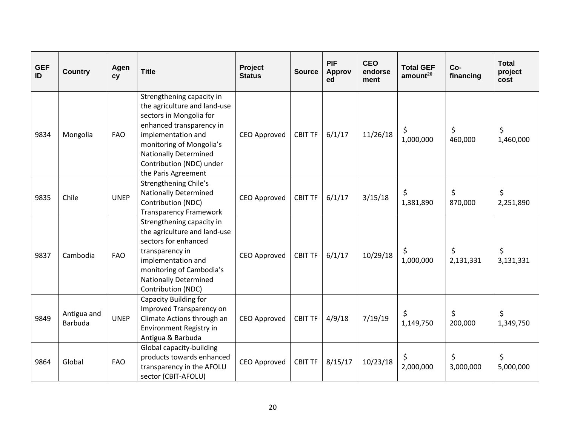| <b>GEF</b><br>ID | <b>Country</b>                | Agen<br>cy  | <b>Title</b>                                                                                                                                                                                                                                          | Project<br><b>Status</b> | <b>Source</b>  | <b>PIF</b><br><b>Approv</b><br>ed | <b>CEO</b><br>endorse<br>ment | <b>Total GEF</b><br>amount <sup>20</sup> | Co-<br>financing | <b>Total</b><br>project<br>cost |
|------------------|-------------------------------|-------------|-------------------------------------------------------------------------------------------------------------------------------------------------------------------------------------------------------------------------------------------------------|--------------------------|----------------|-----------------------------------|-------------------------------|------------------------------------------|------------------|---------------------------------|
| 9834             | Mongolia                      | <b>FAO</b>  | Strengthening capacity in<br>the agriculture and land-use<br>sectors in Mongolia for<br>enhanced transparency in<br>implementation and<br>monitoring of Mongolia's<br><b>Nationally Determined</b><br>Contribution (NDC) under<br>the Paris Agreement | CEO Approved             | <b>CBIT TF</b> | 6/1/17                            | 11/26/18                      | \$<br>1,000,000                          | \$<br>460,000    | \$<br>1,460,000                 |
| 9835             | Chile                         | <b>UNEP</b> | Strengthening Chile's<br><b>Nationally Determined</b><br>Contribution (NDC)<br><b>Transparency Framework</b>                                                                                                                                          | <b>CEO Approved</b>      | <b>CBIT TF</b> | 6/1/17                            | 3/15/18                       | \$<br>1,381,890                          | \$<br>870,000    | \$<br>2,251,890                 |
| 9837             | Cambodia                      | <b>FAO</b>  | Strengthening capacity in<br>the agriculture and land-use<br>sectors for enhanced<br>transparency in<br>implementation and<br>monitoring of Cambodia's<br><b>Nationally Determined</b><br>Contribution (NDC)                                          | CEO Approved             | <b>CBIT TF</b> | 6/1/17                            | 10/29/18                      | \$<br>1,000,000                          | \$<br>2,131,331  | \$<br>3,131,331                 |
| 9849             | Antigua and<br><b>Barbuda</b> | <b>UNEP</b> | <b>Capacity Building for</b><br>Improved Transparency on<br>Climate Actions through an<br>Environment Registry in<br>Antigua & Barbuda                                                                                                                | <b>CEO Approved</b>      | <b>CBIT TF</b> | 4/9/18                            | 7/19/19                       | \$<br>1,149,750                          | \$<br>200,000    | \$<br>1,349,750                 |
| 9864             | Global                        | <b>FAO</b>  | Global capacity-building<br>products towards enhanced<br>transparency in the AFOLU<br>sector (CBIT-AFOLU)                                                                                                                                             | <b>CEO Approved</b>      | <b>CBIT TF</b> | 8/15/17                           | 10/23/18                      | \$<br>2,000,000                          | \$<br>3,000,000  | \$<br>5,000,000                 |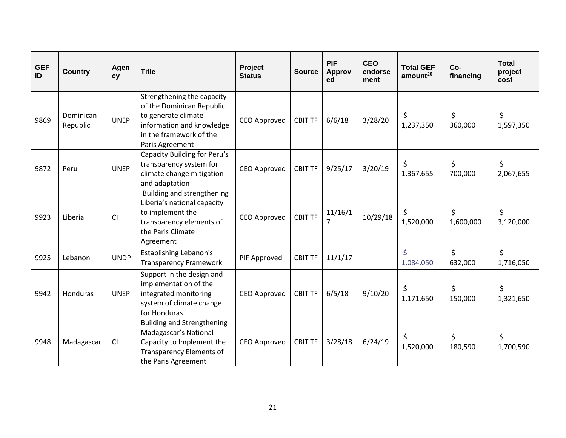| <b>GEF</b><br>ID | <b>Country</b>        | Agen<br>cy  | <b>Title</b>                                                                                                                                              | Project<br><b>Status</b> | <b>Source</b>  | <b>PIF</b><br><b>Approv</b><br>ed | <b>CEO</b><br>endorse<br>ment | <b>Total GEF</b><br>amount <sup>20</sup> | $Co-$<br>financing | <b>Total</b><br>project<br>cost |
|------------------|-----------------------|-------------|-----------------------------------------------------------------------------------------------------------------------------------------------------------|--------------------------|----------------|-----------------------------------|-------------------------------|------------------------------------------|--------------------|---------------------------------|
| 9869             | Dominican<br>Republic | <b>UNEP</b> | Strengthening the capacity<br>of the Dominican Republic<br>to generate climate<br>information and knowledge<br>in the framework of the<br>Paris Agreement | <b>CEO Approved</b>      | <b>CBIT TF</b> | 6/6/18                            | 3/28/20                       | \$<br>1,237,350                          | \$<br>360,000      | \$<br>1,597,350                 |
| 9872             | Peru                  | <b>UNEP</b> | Capacity Building for Peru's<br>transparency system for<br>climate change mitigation<br>and adaptation                                                    | CEO Approved             | <b>CBIT TF</b> | 9/25/17                           | 3/20/19                       | \$<br>1,367,655                          | \$<br>700,000      | \$<br>2,067,655                 |
| 9923             | Liberia               | <b>CI</b>   | Building and strengthening<br>Liberia's national capacity<br>to implement the<br>transparency elements of<br>the Paris Climate<br>Agreement               | CEO Approved             | <b>CBIT TF</b> | 11/16/1                           | 10/29/18                      | \$<br>1,520,000                          | \$<br>1,600,000    | \$<br>3,120,000                 |
| 9925             | Lebanon               | <b>UNDP</b> | <b>Establishing Lebanon's</b><br><b>Transparency Framework</b>                                                                                            | PIF Approved             | <b>CBIT TF</b> | 11/1/17                           |                               | $\overline{\mathsf{S}}$<br>1,084,050     | $\zeta$<br>632,000 | \$<br>1,716,050                 |
| 9942             | <b>Honduras</b>       | <b>UNEP</b> | Support in the design and<br>implementation of the<br>integrated monitoring<br>system of climate change<br>for Honduras                                   | <b>CEO Approved</b>      | <b>CBIT TF</b> | 6/5/18                            | 9/10/20                       | \$<br>1,171,650                          | \$<br>150,000      | \$<br>1,321,650                 |
| 9948             | Madagascar            | CI          | <b>Building and Strengthening</b><br>Madagascar's National<br>Capacity to Implement the<br><b>Transparency Elements of</b><br>the Paris Agreement         | CEO Approved             | <b>CBIT TF</b> | 3/28/18                           | 6/24/19                       | \$<br>1,520,000                          | \$<br>180,590      | \$<br>1,700,590                 |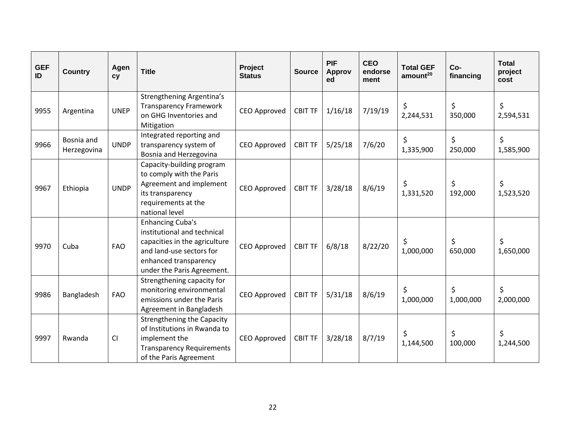| <b>GEF</b><br>ID | <b>Country</b>            | Agen<br>cy  | <b>Title</b>                                                                                                                                                               | Project<br><b>Status</b> | <b>Source</b>  | <b>PIF</b><br><b>Approv</b><br>ed | <b>CEO</b><br>endorse<br>ment | <b>Total GEF</b><br>amount <sup>20</sup> | Co-<br>financing | <b>Total</b><br>project<br>cost |
|------------------|---------------------------|-------------|----------------------------------------------------------------------------------------------------------------------------------------------------------------------------|--------------------------|----------------|-----------------------------------|-------------------------------|------------------------------------------|------------------|---------------------------------|
| 9955             | Argentina                 | <b>UNEP</b> | <b>Strengthening Argentina's</b><br><b>Transparency Framework</b><br>on GHG Inventories and<br>Mitigation                                                                  | <b>CEO Approved</b>      | <b>CBIT TF</b> | 1/16/18                           | 7/19/19                       | \$<br>2,244,531                          | \$<br>350,000    | \$<br>2,594,531                 |
| 9966             | Bosnia and<br>Herzegovina | <b>UNDP</b> | Integrated reporting and<br>transparency system of<br>Bosnia and Herzegovina                                                                                               | <b>CEO Approved</b>      | <b>CBIT TF</b> | 5/25/18                           | 7/6/20                        | \$<br>1,335,900                          | \$<br>250,000    | \$<br>1,585,900                 |
| 9967             | Ethiopia                  | <b>UNDP</b> | Capacity-building program<br>to comply with the Paris<br>Agreement and implement<br>its transparency<br>requirements at the<br>national level                              | <b>CEO Approved</b>      | <b>CBIT TF</b> | 3/28/18                           | 8/6/19                        | \$<br>1,331,520                          | \$<br>192,000    | \$<br>1,523,520                 |
| 9970             | Cuba                      | <b>FAO</b>  | <b>Enhancing Cuba's</b><br>institutional and technical<br>capacities in the agriculture<br>and land-use sectors for<br>enhanced transparency<br>under the Paris Agreement. | CEO Approved             | <b>CBIT TF</b> | 6/8/18                            | 8/22/20                       | \$<br>1,000,000                          | \$<br>650,000    | \$<br>1,650,000                 |
| 9986             | Bangladesh                | <b>FAO</b>  | Strengthening capacity for<br>monitoring environmental<br>emissions under the Paris<br>Agreement in Bangladesh                                                             | <b>CEO Approved</b>      | <b>CBIT TF</b> | 5/31/18                           | 8/6/19                        | \$<br>1,000,000                          | \$<br>1,000,000  | \$<br>2,000,000                 |
| 9997             | Rwanda                    | CI          | <b>Strengthening the Capacity</b><br>of Institutions in Rwanda to<br>implement the<br><b>Transparency Requirements</b><br>of the Paris Agreement                           | CEO Approved             | <b>CBIT TF</b> | 3/28/18                           | 8/7/19                        | \$<br>1,144,500                          | \$<br>100,000    | \$<br>1,244,500                 |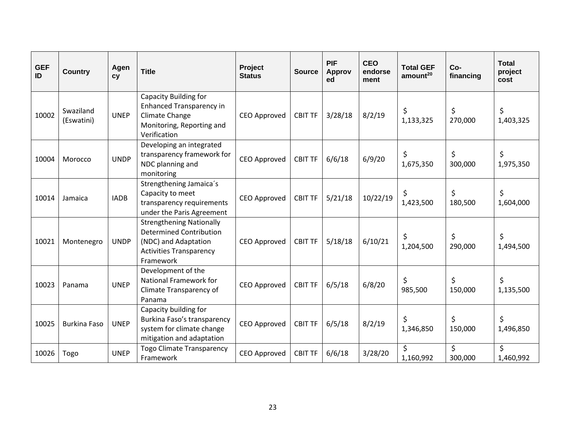| <b>GEF</b><br>ID | <b>Country</b>          | Agen<br>cy  | <b>Title</b>                                                                                                                             | Project<br><b>Status</b> | <b>Source</b>  | <b>PIF</b><br><b>Approv</b><br>ed | <b>CEO</b><br>endorse<br>ment | <b>Total GEF</b><br>amount <sup>20</sup> | Co-<br>financing | <b>Total</b><br>project<br>cost |
|------------------|-------------------------|-------------|------------------------------------------------------------------------------------------------------------------------------------------|--------------------------|----------------|-----------------------------------|-------------------------------|------------------------------------------|------------------|---------------------------------|
| 10002            | Swaziland<br>(Eswatini) | <b>UNEP</b> | <b>Capacity Building for</b><br><b>Enhanced Transparency in</b><br>Climate Change<br>Monitoring, Reporting and<br>Verification           | <b>CEO Approved</b>      | <b>CBIT TF</b> | 3/28/18                           | 8/2/19                        | \$<br>1,133,325                          | \$<br>270,000    | \$<br>1,403,325                 |
| 10004            | Morocco                 | <b>UNDP</b> | Developing an integrated<br>transparency framework for<br>NDC planning and<br>monitoring                                                 | <b>CEO Approved</b>      | <b>CBIT TF</b> | 6/6/18                            | 6/9/20                        | \$<br>1,675,350                          | \$<br>300,000    | \$<br>1,975,350                 |
| 10014            | Jamaica                 | <b>IADB</b> | Strengthening Jamaica's<br>Capacity to meet<br>transparency requirements<br>under the Paris Agreement                                    | <b>CEO Approved</b>      | <b>CBIT TF</b> | 5/21/18                           | 10/22/19                      | \$<br>1,423,500                          | \$<br>180,500    | \$<br>1,604,000                 |
| 10021            | Montenegro              | <b>UNDP</b> | <b>Strengthening Nationally</b><br><b>Determined Contribution</b><br>(NDC) and Adaptation<br><b>Activities Transparency</b><br>Framework | CEO Approved             | <b>CBIT TF</b> | 5/18/18                           | 6/10/21                       | \$<br>1,204,500                          | \$<br>290,000    | \$<br>1,494,500                 |
| 10023            | Panama                  | <b>UNEP</b> | Development of the<br>National Framework for<br>Climate Transparency of<br>Panama                                                        | <b>CEO Approved</b>      | <b>CBIT TF</b> | 6/5/18                            | 6/8/20                        | \$<br>985,500                            | \$<br>150,000    | \$<br>1,135,500                 |
| 10025            | <b>Burkina Faso</b>     | <b>UNEP</b> | Capacity building for<br>Burkina Faso's transparency<br>system for climate change<br>mitigation and adaptation                           | <b>CEO Approved</b>      | <b>CBIT TF</b> | 6/5/18                            | 8/2/19                        | \$<br>1,346,850                          | \$<br>150,000    | \$<br>1,496,850                 |
| 10026            | Togo                    | <b>UNEP</b> | <b>Togo Climate Transparency</b><br>Framework                                                                                            | <b>CEO Approved</b>      | <b>CBIT TF</b> | 6/6/18                            | 3/28/20                       | \$<br>1,160,992                          | \$<br>300,000    | \$<br>1,460,992                 |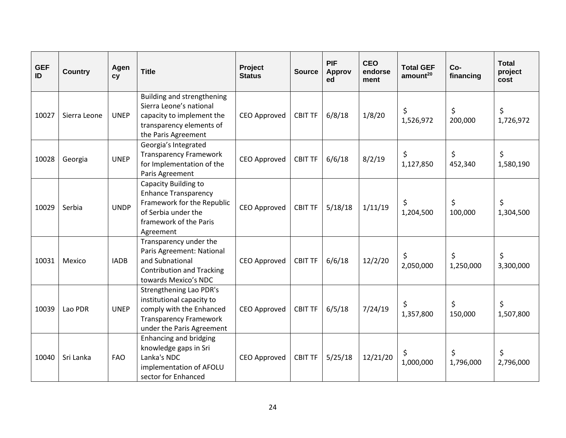| <b>GEF</b><br>ID | <b>Country</b> | Agen<br>cy  | <b>Title</b>                                                                                                                                    | Project<br><b>Status</b> | <b>Source</b>  | <b>PIF</b><br><b>Approv</b><br>ed | <b>CEO</b><br>endorse<br>ment | <b>Total GEF</b><br>amount <sup>20</sup> | Co-<br>financing | <b>Total</b><br>project<br>cost |
|------------------|----------------|-------------|-------------------------------------------------------------------------------------------------------------------------------------------------|--------------------------|----------------|-----------------------------------|-------------------------------|------------------------------------------|------------------|---------------------------------|
| 10027            | Sierra Leone   | <b>UNEP</b> | Building and strengthening<br>Sierra Leone's national<br>capacity to implement the<br>transparency elements of<br>the Paris Agreement           | <b>CEO Approved</b>      | <b>CBIT TF</b> | 6/8/18                            | 1/8/20                        | \$<br>1,526,972                          | \$<br>200,000    | \$<br>1,726,972                 |
| 10028            | Georgia        | <b>UNEP</b> | Georgia's Integrated<br><b>Transparency Framework</b><br>for Implementation of the<br>Paris Agreement                                           | <b>CEO Approved</b>      | <b>CBIT TF</b> | 6/6/18                            | 8/2/19                        | \$<br>1,127,850                          | \$<br>452,340    | \$<br>1,580,190                 |
| 10029            | Serbia         | <b>UNDP</b> | Capacity Building to<br><b>Enhance Transparency</b><br>Framework for the Republic<br>of Serbia under the<br>framework of the Paris<br>Agreement | CEO Approved             | <b>CBIT TF</b> | 5/18/18                           | 1/11/19                       | \$<br>1,204,500                          | \$<br>100,000    | \$<br>1,304,500                 |
| 10031            | Mexico         | <b>IADB</b> | Transparency under the<br>Paris Agreement: National<br>and Subnational<br><b>Contribution and Tracking</b><br>towards Mexico's NDC              | CEO Approved             | <b>CBIT TF</b> | 6/6/18                            | 12/2/20                       | \$<br>2,050,000                          | \$<br>1,250,000  | \$<br>3,300,000                 |
| 10039            | Lao PDR        | <b>UNEP</b> | Strengthening Lao PDR's<br>institutional capacity to<br>comply with the Enhanced<br><b>Transparency Framework</b><br>under the Paris Agreement  | <b>CEO Approved</b>      | <b>CBIT TF</b> | 6/5/18                            | 7/24/19                       | \$<br>1,357,800                          | \$<br>150,000    | \$<br>1,507,800                 |
| 10040            | Sri Lanka      | <b>FAO</b>  | <b>Enhancing and bridging</b><br>knowledge gaps in Sri<br>Lanka's NDC<br>implementation of AFOLU<br>sector for Enhanced                         | <b>CEO Approved</b>      | <b>CBIT TF</b> | 5/25/18                           | 12/21/20                      | \$<br>1,000,000                          | \$<br>1,796,000  | \$<br>2,796,000                 |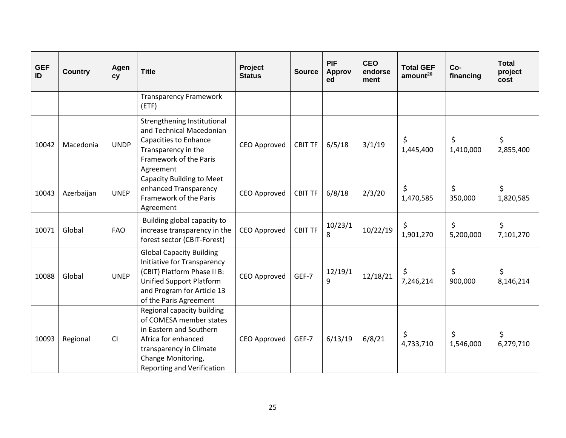| <b>GEF</b><br>ID | <b>Country</b> | Agen<br>cy  | <b>Title</b>                                                                                                                                                                                  | Project<br><b>Status</b> | <b>Source</b>  | <b>PIF</b><br><b>Approv</b><br>ed | <b>CEO</b><br>endorse<br>ment | <b>Total GEF</b><br>amount <sup>20</sup> | Co-<br>financing | <b>Total</b><br>project<br>cost |
|------------------|----------------|-------------|-----------------------------------------------------------------------------------------------------------------------------------------------------------------------------------------------|--------------------------|----------------|-----------------------------------|-------------------------------|------------------------------------------|------------------|---------------------------------|
|                  |                |             | <b>Transparency Framework</b><br>(ETF)                                                                                                                                                        |                          |                |                                   |                               |                                          |                  |                                 |
| 10042            | Macedonia      | <b>UNDP</b> | Strengthening Institutional<br>and Technical Macedonian<br>Capacities to Enhance<br>Transparency in the<br>Framework of the Paris<br>Agreement                                                | CEO Approved             | <b>CBIT TF</b> | 6/5/18                            | 3/1/19                        | \$<br>1,445,400                          | \$<br>1,410,000  | \$<br>2,855,400                 |
| 10043            | Azerbaijan     | <b>UNEP</b> | <b>Capacity Building to Meet</b><br>enhanced Transparency<br>Framework of the Paris<br>Agreement                                                                                              | <b>CEO Approved</b>      | <b>CBIT TF</b> | 6/8/18                            | 2/3/20                        | \$<br>1,470,585                          | \$<br>350,000    | \$<br>1,820,585                 |
| 10071            | Global         | <b>FAO</b>  | Building global capacity to<br>increase transparency in the<br>forest sector (CBIT-Forest)                                                                                                    | <b>CEO Approved</b>      | <b>CBIT TF</b> | 10/23/1<br>8                      | 10/22/19                      | \$<br>1,901,270                          | \$<br>5,200,000  | \$<br>7,101,270                 |
| 10088            | Global         | <b>UNEP</b> | <b>Global Capacity Building</b><br>Initiative for Transparency<br>(CBIT) Platform Phase II B:<br><b>Unified Support Platform</b><br>and Program for Article 13<br>of the Paris Agreement      | <b>CEO Approved</b>      | GEF-7          | 12/19/1<br>9                      | 12/18/21                      | \$<br>7,246,214                          | \$<br>900,000    | \$<br>8,146,214                 |
| 10093            | Regional       | CI          | Regional capacity building<br>of COMESA member states<br>in Eastern and Southern<br>Africa for enhanced<br>transparency in Climate<br>Change Monitoring,<br><b>Reporting and Verification</b> | <b>CEO Approved</b>      | GEF-7          | 6/13/19                           | 6/8/21                        | \$<br>4,733,710                          | \$<br>1,546,000  | \$<br>6,279,710                 |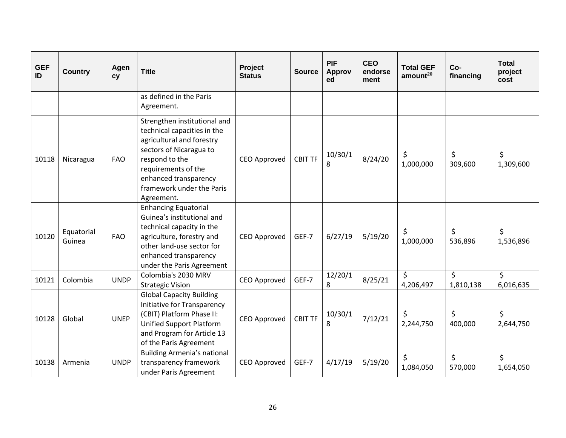| <b>GEF</b><br>ID | <b>Country</b>       | Agen<br>cy  | <b>Title</b>                                                                                                                                                                                                                     | Project<br><b>Status</b> | <b>Source</b>  | <b>PIF</b><br><b>Approv</b><br>ed | <b>CEO</b><br>endorse<br>ment | <b>Total GEF</b><br>amount <sup>20</sup> | Co-<br>financing     | <b>Total</b><br>project<br>cost |
|------------------|----------------------|-------------|----------------------------------------------------------------------------------------------------------------------------------------------------------------------------------------------------------------------------------|--------------------------|----------------|-----------------------------------|-------------------------------|------------------------------------------|----------------------|---------------------------------|
|                  |                      |             | as defined in the Paris<br>Agreement.                                                                                                                                                                                            |                          |                |                                   |                               |                                          |                      |                                 |
| 10118            | Nicaragua            | <b>FAO</b>  | Strengthen institutional and<br>technical capacities in the<br>agricultural and forestry<br>sectors of Nicaragua to<br>respond to the<br>requirements of the<br>enhanced transparency<br>framework under the Paris<br>Agreement. | CEO Approved             | <b>CBIT TF</b> | 10/30/1<br>8                      | 8/24/20                       | \$<br>1,000,000                          | \$<br>309,600        | \$<br>1,309,600                 |
| 10120            | Equatorial<br>Guinea | <b>FAO</b>  | <b>Enhancing Equatorial</b><br>Guinea's institutional and<br>technical capacity in the<br>agriculture, forestry and<br>other land-use sector for<br>enhanced transparency<br>under the Paris Agreement                           | CEO Approved             | GEF-7          | 6/27/19                           | 5/19/20                       | \$<br>1,000,000                          | \$<br>536,896        | \$<br>1,536,896                 |
| 10121            | Colombia             | <b>UNDP</b> | Colombia's 2030 MRV<br><b>Strategic Vision</b>                                                                                                                                                                                   | CEO Approved             | GEF-7          | 12/20/1<br>8                      | 8/25/21                       | \$<br>4,206,497                          | $\zeta$<br>1,810,138 | \$<br>6,016,635                 |
| 10128            | Global               | <b>UNEP</b> | <b>Global Capacity Building</b><br>Initiative for Transparency<br>(CBIT) Platform Phase II:<br><b>Unified Support Platform</b><br>and Program for Article 13<br>of the Paris Agreement                                           | CEO Approved             | <b>CBIT TF</b> | 10/30/1<br>8                      | 7/12/21                       | \$<br>2,244,750                          | \$<br>400,000        | \$<br>2,644,750                 |
| 10138            | Armenia              | <b>UNDP</b> | <b>Building Armenia's national</b><br>transparency framework<br>under Paris Agreement                                                                                                                                            | CEO Approved             | GEF-7          | 4/17/19                           | 5/19/20                       | \$<br>1,084,050                          | \$<br>570,000        | \$<br>1,654,050                 |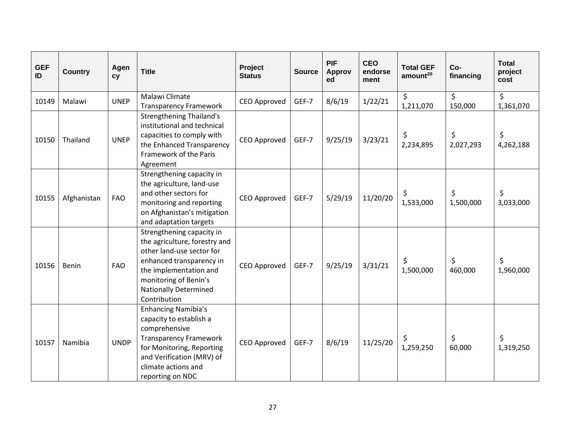| <b>GEF</b><br>ID | <b>Country</b> | Agen<br>cy  | <b>Title</b>                                                                                                                                                                                                           | Project<br><b>Status</b> | <b>Source</b> | <b>PIF</b><br><b>Approv</b><br>ed | <b>CEO</b><br>endorse<br>ment | <b>Total GEF</b><br>amount <sup>20</sup> | Co-<br>financing | <b>Total</b><br>project<br>cost |
|------------------|----------------|-------------|------------------------------------------------------------------------------------------------------------------------------------------------------------------------------------------------------------------------|--------------------------|---------------|-----------------------------------|-------------------------------|------------------------------------------|------------------|---------------------------------|
| 10149            | Malawi         | <b>UNEP</b> | Malawi Climate<br><b>Transparency Framework</b>                                                                                                                                                                        | <b>CEO Approved</b>      | GEF-7         | 8/6/19                            | 1/22/21                       | \$<br>1,211,070                          | \$<br>150,000    | \$<br>1,361,070                 |
| 10150            | Thailand       | <b>UNEP</b> | <b>Strengthening Thailand's</b><br>institutional and technical<br>capacities to comply with<br>the Enhanced Transparency<br>Framework of the Paris<br>Agreement                                                        | <b>CEO Approved</b>      | GEF-7         | 9/25/19                           | 3/23/21                       | \$<br>2,234,895                          | \$<br>2,027,293  | \$<br>4,262,188                 |
| 10155            | Afghanistan    | <b>FAO</b>  | Strengthening capacity in<br>the agriculture, land-use<br>and other sectors for<br>monitoring and reporting<br>on Afghanistan's mitigation<br>and adaptation targets                                                   | <b>CEO Approved</b>      | GEF-7         | 5/29/19                           | 11/20/20                      | \$<br>1,533,000                          | \$<br>1,500,000  | \$<br>3,033,000                 |
| 10156            | <b>Benin</b>   | <b>FAO</b>  | Strengthening capacity in<br>the agriculture, forestry and<br>other land-use sector for<br>enhanced transparency in<br>the implementation and<br>monitoring of Benin's<br><b>Nationally Determined</b><br>Contribution | CEO Approved             | GEF-7         | 9/25/19                           | 3/31/21                       | \$<br>1,500,000                          | \$<br>460,000    | \$<br>1,960,000                 |
| 10157            | Namibia        | <b>UNDP</b> | <b>Enhancing Namibia's</b><br>capacity to establish a<br>comprehensive<br><b>Transparency Framework</b><br>for Monitoring, Reporting<br>and Verification (MRV) of<br>climate actions and<br>reporting on NDC           | CEO Approved             | GEF-7         | 8/6/19                            | 11/25/20                      | \$<br>1,259,250                          | \$<br>60,000     | \$<br>1,319,250                 |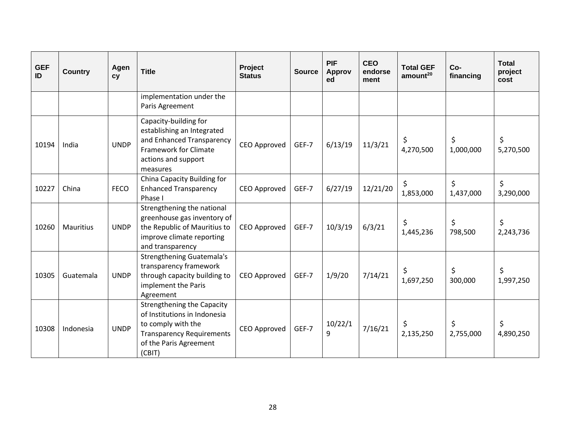| <b>GEF</b><br>ID | <b>Country</b>   | Agen<br>cy  | <b>Title</b>                                                                                                                                                    | Project<br><b>Status</b> | <b>Source</b> | <b>PIF</b><br><b>Approv</b><br>ed | <b>CEO</b><br>endorse<br>ment | <b>Total GEF</b><br>amount <sup>20</sup> | Co-<br>financing | <b>Total</b><br>project<br>cost |
|------------------|------------------|-------------|-----------------------------------------------------------------------------------------------------------------------------------------------------------------|--------------------------|---------------|-----------------------------------|-------------------------------|------------------------------------------|------------------|---------------------------------|
|                  |                  |             | implementation under the<br>Paris Agreement                                                                                                                     |                          |               |                                   |                               |                                          |                  |                                 |
| 10194            | India            | <b>UNDP</b> | Capacity-building for<br>establishing an Integrated<br>and Enhanced Transparency<br>Framework for Climate<br>actions and support<br>measures                    | CEO Approved             | GEF-7         | 6/13/19                           | 11/3/21                       | \$<br>4,270,500                          | \$<br>1,000,000  | \$<br>5,270,500                 |
| 10227            | China            | <b>FECO</b> | China Capacity Building for<br><b>Enhanced Transparency</b><br>Phase I                                                                                          | <b>CEO Approved</b>      | GEF-7         | 6/27/19                           | 12/21/20                      | \$<br>1,853,000                          | \$<br>1,437,000  | \$<br>3,290,000                 |
| 10260            | <b>Mauritius</b> | <b>UNDP</b> | Strengthening the national<br>greenhouse gas inventory of<br>the Republic of Mauritius to<br>improve climate reporting<br>and transparency                      | CEO Approved             | GEF-7         | 10/3/19                           | 6/3/21                        | \$<br>1,445,236                          | \$<br>798,500    | \$<br>2,243,736                 |
| 10305            | Guatemala        | <b>UNDP</b> | <b>Strengthening Guatemala's</b><br>transparency framework<br>through capacity building to<br>implement the Paris<br>Agreement                                  | CEO Approved             | GEF-7         | 1/9/20                            | 7/14/21                       | \$<br>1,697,250                          | \$<br>300,000    | \$<br>1,997,250                 |
| 10308            | Indonesia        | <b>UNDP</b> | <b>Strengthening the Capacity</b><br>of Institutions in Indonesia<br>to comply with the<br><b>Transparency Requirements</b><br>of the Paris Agreement<br>(CBIT) | <b>CEO Approved</b>      | GEF-7         | 10/22/1<br>9                      | 7/16/21                       | \$<br>2,135,250                          | \$<br>2,755,000  | \$<br>4,890,250                 |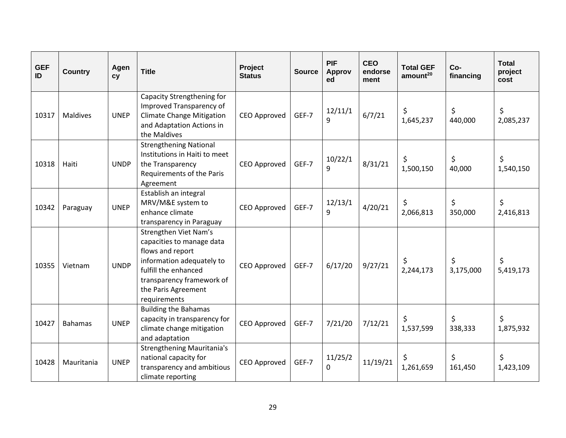| <b>GEF</b><br>ID | <b>Country</b>  | Agen<br>cy  | <b>Title</b>                                                                                                                                                                                    | Project<br><b>Status</b> | <b>Source</b> | <b>PIF</b><br><b>Approv</b><br>ed | <b>CEO</b><br>endorse<br>ment | <b>Total GEF</b><br>amount <sup>20</sup> | Co-<br>financing | <b>Total</b><br>project<br>cost |
|------------------|-----------------|-------------|-------------------------------------------------------------------------------------------------------------------------------------------------------------------------------------------------|--------------------------|---------------|-----------------------------------|-------------------------------|------------------------------------------|------------------|---------------------------------|
| 10317            | <b>Maldives</b> | <b>UNEP</b> | Capacity Strengthening for<br>Improved Transparency of<br><b>Climate Change Mitigation</b><br>and Adaptation Actions in<br>the Maldives                                                         | <b>CEO Approved</b>      | GEF-7         | 12/11/1<br>9                      | 6/7/21                        | \$<br>1,645,237                          | \$<br>440,000    | \$<br>2,085,237                 |
| 10318            | Haiti           | <b>UNDP</b> | <b>Strengthening National</b><br>Institutions in Haiti to meet<br>the Transparency<br>Requirements of the Paris<br>Agreement                                                                    | CEO Approved             | GEF-7         | 10/22/1<br>9                      | 8/31/21                       | \$<br>1,500,150                          | \$<br>40,000     | \$<br>1,540,150                 |
| 10342            | Paraguay        | <b>UNEP</b> | Establish an integral<br>MRV/M&E system to<br>enhance climate<br>transparency in Paraguay                                                                                                       | CEO Approved             | GEF-7         | 12/13/1<br>q                      | 4/20/21                       | \$<br>2,066,813                          | \$<br>350,000    | \$<br>2,416,813                 |
| 10355            | Vietnam         | <b>UNDP</b> | Strengthen Viet Nam's<br>capacities to manage data<br>flows and report<br>information adequately to<br>fulfill the enhanced<br>transparency framework of<br>the Paris Agreement<br>requirements | <b>CEO Approved</b>      | GEF-7         | 6/17/20                           | 9/27/21                       | \$<br>2,244,173                          | \$<br>3,175,000  | \$<br>5,419,173                 |
| 10427            | <b>Bahamas</b>  | <b>UNEP</b> | <b>Building the Bahamas</b><br>capacity in transparency for<br>climate change mitigation<br>and adaptation                                                                                      | CEO Approved             | GEF-7         | 7/21/20                           | 7/12/21                       | \$<br>1,537,599                          | \$<br>338,333    | \$<br>1,875,932                 |
| 10428            | Mauritania      | <b>UNEP</b> | <b>Strengthening Mauritania's</b><br>national capacity for<br>transparency and ambitious<br>climate reporting                                                                                   | <b>CEO Approved</b>      | GEF-7         | 11/25/2<br>0                      | 11/19/21                      | \$<br>1,261,659                          | \$<br>161,450    | \$<br>1,423,109                 |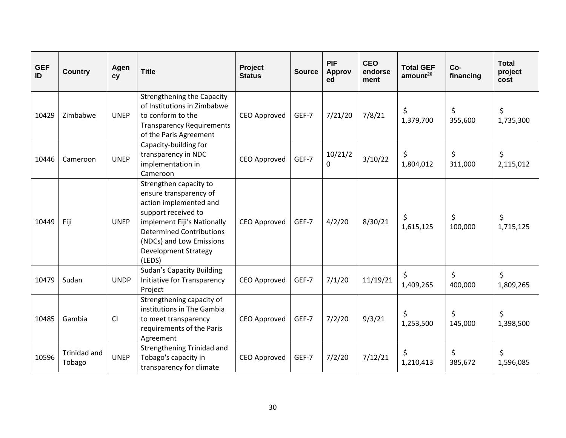| <b>GEF</b><br>ID | <b>Country</b>         | Agen<br>cy  | <b>Title</b>                                                                                                                                                                                                                             | Project<br><b>Status</b> | <b>Source</b> | <b>PIF</b><br><b>Approv</b><br>ed | <b>CEO</b><br>endorse<br>ment | <b>Total GEF</b><br>amount <sup>20</sup> | Co-<br>financing | <b>Total</b><br>project<br>cost |
|------------------|------------------------|-------------|------------------------------------------------------------------------------------------------------------------------------------------------------------------------------------------------------------------------------------------|--------------------------|---------------|-----------------------------------|-------------------------------|------------------------------------------|------------------|---------------------------------|
| 10429            | Zimbabwe               | <b>UNEP</b> | <b>Strengthening the Capacity</b><br>of Institutions in Zimbabwe<br>to conform to the<br><b>Transparency Requirements</b><br>of the Paris Agreement                                                                                      | CEO Approved             | GEF-7         | 7/21/20                           | 7/8/21                        | \$<br>1,379,700                          | \$<br>355,600    | \$<br>1,735,300                 |
| 10446            | Cameroon               | <b>UNEP</b> | Capacity-building for<br>transparency in NDC<br>implementation in<br>Cameroon                                                                                                                                                            | <b>CEO Approved</b>      | GEF-7         | 10/21/2<br>0                      | 3/10/22                       | \$<br>1,804,012                          | \$<br>311,000    | \$<br>2,115,012                 |
| 10449            | Fiji                   | <b>UNEP</b> | Strengthen capacity to<br>ensure transparency of<br>action implemented and<br>support received to<br>implement Fiji's Nationally<br><b>Determined Contributions</b><br>(NDCs) and Low Emissions<br><b>Development Strategy</b><br>(LEDS) | CEO Approved             | GEF-7         | 4/2/20                            | 8/30/21                       | \$<br>1,615,125                          | \$<br>100,000    | \$<br>1,715,125                 |
| 10479            | Sudan                  | <b>UNDP</b> | <b>Sudan's Capacity Building</b><br>Initiative for Transparency<br>Project                                                                                                                                                               | CEO Approved             | GEF-7         | 7/1/20                            | 11/19/21                      | \$<br>1,409,265                          | \$<br>400,000    | \$<br>1,809,265                 |
| 10485            | Gambia                 | CI          | Strengthening capacity of<br>institutions in The Gambia<br>to meet transparency<br>requirements of the Paris<br>Agreement                                                                                                                | CEO Approved             | GEF-7         | 7/2/20                            | 9/3/21                        | \$<br>1,253,500                          | \$<br>145,000    | \$<br>1,398,500                 |
| 10596            | Trinidad and<br>Tobago | <b>UNEP</b> | <b>Strengthening Trinidad and</b><br>Tobago's capacity in<br>transparency for climate                                                                                                                                                    | CEO Approved             | GEF-7         | 7/2/20                            | 7/12/21                       | \$<br>1,210,413                          | \$<br>385,672    | \$<br>1,596,085                 |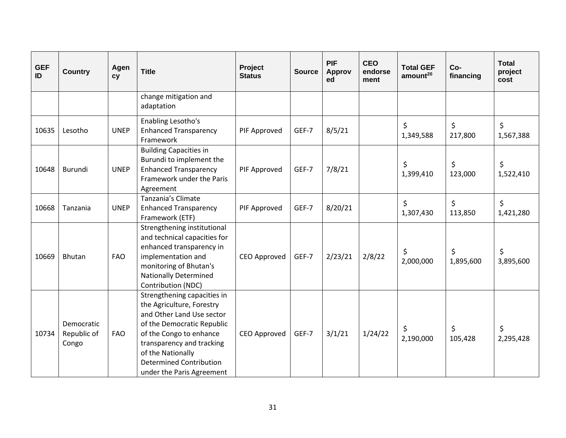| <b>GEF</b><br>ID | <b>Country</b>                     | Agen<br>cy  | <b>Title</b>                                                                                                                                                                                                                                                    | Project<br><b>Status</b> | <b>Source</b> | <b>PIF</b><br><b>Approv</b><br>ed | <b>CEO</b><br>endorse<br>ment | <b>Total GEF</b><br>amount <sup>20</sup> | Co-<br>financing | <b>Total</b><br>project<br>cost |
|------------------|------------------------------------|-------------|-----------------------------------------------------------------------------------------------------------------------------------------------------------------------------------------------------------------------------------------------------------------|--------------------------|---------------|-----------------------------------|-------------------------------|------------------------------------------|------------------|---------------------------------|
|                  |                                    |             | change mitigation and<br>adaptation                                                                                                                                                                                                                             |                          |               |                                   |                               |                                          |                  |                                 |
| 10635            | Lesotho                            | <b>UNEP</b> | Enabling Lesotho's<br><b>Enhanced Transparency</b><br>Framework                                                                                                                                                                                                 | PIF Approved             | GEF-7         | 8/5/21                            |                               | \$<br>1,349,588                          | \$<br>217,800    | \$<br>1,567,388                 |
| 10648            | <b>Burundi</b>                     | <b>UNEP</b> | <b>Building Capacities in</b><br>Burundi to implement the<br><b>Enhanced Transparency</b><br>Framework under the Paris<br>Agreement                                                                                                                             | PIF Approved             | GEF-7         | 7/8/21                            |                               | \$<br>1,399,410                          | \$<br>123,000    | \$<br>1,522,410                 |
| 10668            | Tanzania                           | <b>UNEP</b> | Tanzania's Climate<br><b>Enhanced Transparency</b><br>Framework (ETF)                                                                                                                                                                                           | PIF Approved             | GEF-7         | 8/20/21                           |                               | $\zeta$<br>1,307,430                     | \$<br>113,850    | \$<br>1,421,280                 |
| 10669            | <b>Bhutan</b>                      | <b>FAO</b>  | Strengthening institutional<br>and technical capacities for<br>enhanced transparency in<br>implementation and<br>monitoring of Bhutan's<br><b>Nationally Determined</b><br>Contribution (NDC)                                                                   | <b>CEO Approved</b>      | GEF-7         | 2/23/21                           | 2/8/22                        | \$<br>2,000,000                          | \$<br>1,895,600  | \$<br>3,895,600                 |
| 10734            | Democratic<br>Republic of<br>Congo | <b>FAO</b>  | Strengthening capacities in<br>the Agriculture, Forestry<br>and Other Land Use sector<br>of the Democratic Republic<br>of the Congo to enhance<br>transparency and tracking<br>of the Nationally<br><b>Determined Contribution</b><br>under the Paris Agreement | CEO Approved             | GEF-7         | 3/1/21                            | 1/24/22                       | \$<br>2,190,000                          | \$<br>105,428    | \$<br>2,295,428                 |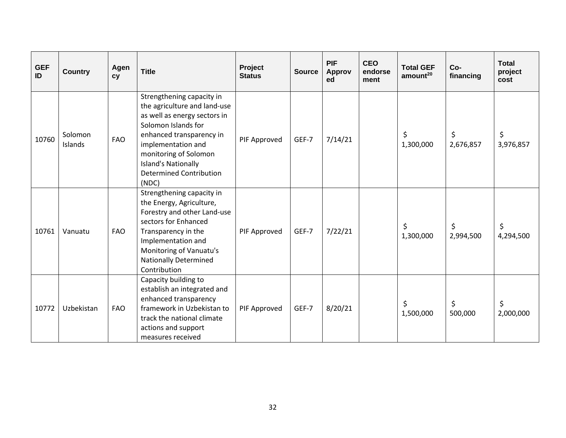| <b>GEF</b><br>ID | <b>Country</b>     | Agen<br><b>CV</b> | <b>Title</b>                                                                                                                                                                                                                                                         | Project<br><b>Status</b> | <b>Source</b> | <b>PIF</b><br><b>Approv</b><br>ed | <b>CEO</b><br>endorse<br>ment | <b>Total GEF</b><br>amount <sup>20</sup> | Co-<br>financing | <b>Total</b><br>project<br>cost |
|------------------|--------------------|-------------------|----------------------------------------------------------------------------------------------------------------------------------------------------------------------------------------------------------------------------------------------------------------------|--------------------------|---------------|-----------------------------------|-------------------------------|------------------------------------------|------------------|---------------------------------|
| 10760            | Solomon<br>Islands | <b>FAO</b>        | Strengthening capacity in<br>the agriculture and land-use<br>as well as energy sectors in<br>Solomon Islands for<br>enhanced transparency in<br>implementation and<br>monitoring of Solomon<br><b>Island's Nationally</b><br><b>Determined Contribution</b><br>(NDC) | PIF Approved             | GEF-7         | 7/14/21                           |                               | \$<br>1,300,000                          | \$<br>2,676,857  | \$<br>3,976,857                 |
| 10761            | Vanuatu            | <b>FAO</b>        | Strengthening capacity in<br>the Energy, Agriculture,<br>Forestry and other Land-use<br>sectors for Enhanced<br>Transparency in the<br>Implementation and<br>Monitoring of Vanuatu's<br><b>Nationally Determined</b><br>Contribution                                 | PIF Approved             | GEF-7         | 7/22/21                           |                               | \$<br>1,300,000                          | \$<br>2,994,500  | \$<br>4,294,500                 |
| 10772            | Uzbekistan         | <b>FAO</b>        | Capacity building to<br>establish an integrated and<br>enhanced transparency<br>framework in Uzbekistan to<br>track the national climate<br>actions and support<br>measures received                                                                                 | PIF Approved             | GEF-7         | 8/20/21                           |                               | \$<br>1,500,000                          | \$<br>500,000    | \$<br>2,000,000                 |